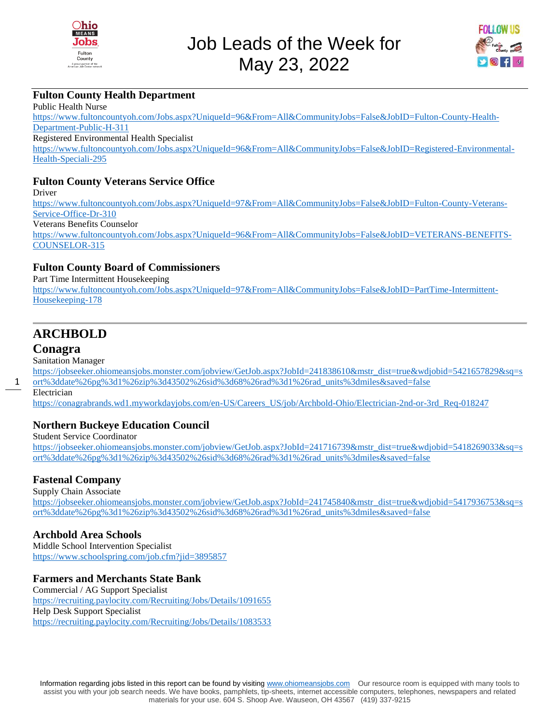



#### **Fulton County Health Department**

Public Health Nurse [https://www.fultoncountyoh.com/Jobs.aspx?UniqueId=96&From=All&CommunityJobs=False&JobID=Fulton-County-Health-](https://www.fultoncountyoh.com/Jobs.aspx?UniqueId=96&From=All&CommunityJobs=False&JobID=Fulton-County-Health-Department-Public-H-311)[Department-Public-H-311](https://www.fultoncountyoh.com/Jobs.aspx?UniqueId=96&From=All&CommunityJobs=False&JobID=Fulton-County-Health-Department-Public-H-311) Registered Environmental Health Specialist [https://www.fultoncountyoh.com/Jobs.aspx?UniqueId=96&From=All&CommunityJobs=False&JobID=Registered-Environmental-](https://www.fultoncountyoh.com/Jobs.aspx?UniqueId=96&From=All&CommunityJobs=False&JobID=Registered-Environmental-Health-Speciali-295)[Health-Speciali-295](https://www.fultoncountyoh.com/Jobs.aspx?UniqueId=96&From=All&CommunityJobs=False&JobID=Registered-Environmental-Health-Speciali-295)

#### **Fulton County Veterans Service Office**

Driver

[https://www.fultoncountyoh.com/Jobs.aspx?UniqueId=97&From=All&CommunityJobs=False&JobID=Fulton-County-Veterans-](https://www.fultoncountyoh.com/Jobs.aspx?UniqueId=97&From=All&CommunityJobs=False&JobID=Fulton-County-Veterans-Service-Office-Dr-310)[Service-Office-Dr-310](https://www.fultoncountyoh.com/Jobs.aspx?UniqueId=97&From=All&CommunityJobs=False&JobID=Fulton-County-Veterans-Service-Office-Dr-310) Veterans Benefits Counselor [https://www.fultoncountyoh.com/Jobs.aspx?UniqueId=96&From=All&CommunityJobs=False&JobID=VETERANS-BENEFITS-](https://www.fultoncountyoh.com/Jobs.aspx?UniqueId=96&From=All&CommunityJobs=False&JobID=VETERANS-BENEFITS-COUNSELOR-315)

[COUNSELOR-315](https://www.fultoncountyoh.com/Jobs.aspx?UniqueId=96&From=All&CommunityJobs=False&JobID=VETERANS-BENEFITS-COUNSELOR-315)

#### **Fulton County Board of Commissioners**

Part Time Intermittent Housekeeping

[https://www.fultoncountyoh.com/Jobs.aspx?UniqueId=97&From=All&CommunityJobs=False&JobID=PartTime-Intermittent-](https://www.fultoncountyoh.com/Jobs.aspx?UniqueId=97&From=All&CommunityJobs=False&JobID=PartTime-Intermittent-Housekeeping-178)[Housekeeping-178](https://www.fultoncountyoh.com/Jobs.aspx?UniqueId=97&From=All&CommunityJobs=False&JobID=PartTime-Intermittent-Housekeeping-178)

# **ARCHBOLD**

#### **Conagra**

Sanitation Manager

[https://jobseeker.ohiomeansjobs.monster.com/jobview/GetJob.aspx?JobId=241838610&mstr\\_dist=true&wdjobid=5421657829&sq=s](https://jobseeker.ohiomeansjobs.monster.com/jobview/GetJob.aspx?JobId=241838610&mstr_dist=true&wdjobid=5421657829&sq=sort%3ddate%26pg%3d1%26zip%3d43502%26sid%3d68%26rad%3d1%26rad_units%3dmiles&saved=false) [ort%3ddate%26pg%3d1%26zip%3d43502%26sid%3d68%26rad%3d1%26rad\\_units%3dmiles&saved=false](https://jobseeker.ohiomeansjobs.monster.com/jobview/GetJob.aspx?JobId=241838610&mstr_dist=true&wdjobid=5421657829&sq=sort%3ddate%26pg%3d1%26zip%3d43502%26sid%3d68%26rad%3d1%26rad_units%3dmiles&saved=false)

Electrician

1

[https://conagrabrands.wd1.myworkdayjobs.com/en-US/Careers\\_US/job/Archbold-Ohio/Electrician-2nd-or-3rd\\_Req-018247](https://conagrabrands.wd1.myworkdayjobs.com/en-US/Careers_US/job/Archbold-Ohio/Electrician-2nd-or-3rd_Req-018247)

#### **Northern Buckeye Education Council**

Student Service Coordinator

[https://jobseeker.ohiomeansjobs.monster.com/jobview/GetJob.aspx?JobId=241716739&mstr\\_dist=true&wdjobid=5418269033&sq=s](https://jobseeker.ohiomeansjobs.monster.com/jobview/GetJob.aspx?JobId=241716739&mstr_dist=true&wdjobid=5418269033&sq=sort%3ddate%26pg%3d1%26zip%3d43502%26sid%3d68%26rad%3d1%26rad_units%3dmiles&saved=false) [ort%3ddate%26pg%3d1%26zip%3d43502%26sid%3d68%26rad%3d1%26rad\\_units%3dmiles&saved=false](https://jobseeker.ohiomeansjobs.monster.com/jobview/GetJob.aspx?JobId=241716739&mstr_dist=true&wdjobid=5418269033&sq=sort%3ddate%26pg%3d1%26zip%3d43502%26sid%3d68%26rad%3d1%26rad_units%3dmiles&saved=false)

#### **Fastenal Company**

Supply Chain Associate

[https://jobseeker.ohiomeansjobs.monster.com/jobview/GetJob.aspx?JobId=241745840&mstr\\_dist=true&wdjobid=5417936753&sq=s](https://jobseeker.ohiomeansjobs.monster.com/jobview/GetJob.aspx?JobId=241745840&mstr_dist=true&wdjobid=5417936753&sq=sort%3ddate%26pg%3d1%26zip%3d43502%26sid%3d68%26rad%3d1%26rad_units%3dmiles&saved=false) [ort%3ddate%26pg%3d1%26zip%3d43502%26sid%3d68%26rad%3d1%26rad\\_units%3dmiles&saved=false](https://jobseeker.ohiomeansjobs.monster.com/jobview/GetJob.aspx?JobId=241745840&mstr_dist=true&wdjobid=5417936753&sq=sort%3ddate%26pg%3d1%26zip%3d43502%26sid%3d68%26rad%3d1%26rad_units%3dmiles&saved=false)

#### **Archbold Area Schools**

Middle School Intervention Specialist <https://www.schoolspring.com/job.cfm?jid=3895857>

#### **Farmers and Merchants State Bank**

Commercial / AG Support Specialist <https://recruiting.paylocity.com/Recruiting/Jobs/Details/1091655> Help Desk Support Specialist <https://recruiting.paylocity.com/Recruiting/Jobs/Details/1083533>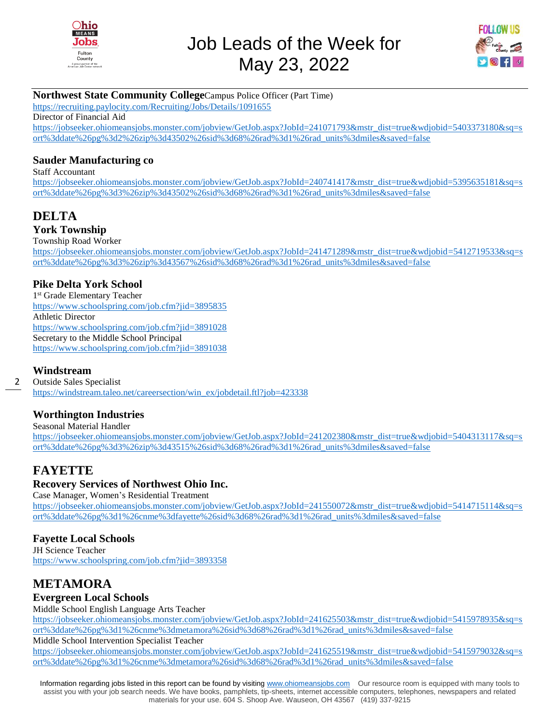



### **Northwest State Community College**Campus Police Officer (Part Time)

<https://recruiting.paylocity.com/Recruiting/Jobs/Details/1091655>

Director of Financial Aid

[https://jobseeker.ohiomeansjobs.monster.com/jobview/GetJob.aspx?JobId=241071793&mstr\\_dist=true&wdjobid=5403373180&sq=s](https://jobseeker.ohiomeansjobs.monster.com/jobview/GetJob.aspx?JobId=241071793&mstr_dist=true&wdjobid=5403373180&sq=sort%3ddate%26pg%3d2%26zip%3d43502%26sid%3d68%26rad%3d1%26rad_units%3dmiles&saved=false) [ort%3ddate%26pg%3d2%26zip%3d43502%26sid%3d68%26rad%3d1%26rad\\_units%3dmiles&saved=false](https://jobseeker.ohiomeansjobs.monster.com/jobview/GetJob.aspx?JobId=241071793&mstr_dist=true&wdjobid=5403373180&sq=sort%3ddate%26pg%3d2%26zip%3d43502%26sid%3d68%26rad%3d1%26rad_units%3dmiles&saved=false)

#### **Sauder Manufacturing co**

Staff Accountant [https://jobseeker.ohiomeansjobs.monster.com/jobview/GetJob.aspx?JobId=240741417&mstr\\_dist=true&wdjobid=5395635181&sq=s](https://jobseeker.ohiomeansjobs.monster.com/jobview/GetJob.aspx?JobId=240741417&mstr_dist=true&wdjobid=5395635181&sq=sort%3ddate%26pg%3d3%26zip%3d43502%26sid%3d68%26rad%3d1%26rad_units%3dmiles&saved=false) [ort%3ddate%26pg%3d3%26zip%3d43502%26sid%3d68%26rad%3d1%26rad\\_units%3dmiles&saved=false](https://jobseeker.ohiomeansjobs.monster.com/jobview/GetJob.aspx?JobId=240741417&mstr_dist=true&wdjobid=5395635181&sq=sort%3ddate%26pg%3d3%26zip%3d43502%26sid%3d68%26rad%3d1%26rad_units%3dmiles&saved=false)

# **DELTA**

**York Township** 

Township Road Worker

[https://jobseeker.ohiomeansjobs.monster.com/jobview/GetJob.aspx?JobId=241471289&mstr\\_dist=true&wdjobid=5412719533&sq=s](https://jobseeker.ohiomeansjobs.monster.com/jobview/GetJob.aspx?JobId=241471289&mstr_dist=true&wdjobid=5412719533&sq=sort%3ddate%26pg%3d3%26zip%3d43567%26sid%3d68%26rad%3d1%26rad_units%3dmiles&saved=false) [ort%3ddate%26pg%3d3%26zip%3d43567%26sid%3d68%26rad%3d1%26rad\\_units%3dmiles&saved=false](https://jobseeker.ohiomeansjobs.monster.com/jobview/GetJob.aspx?JobId=241471289&mstr_dist=true&wdjobid=5412719533&sq=sort%3ddate%26pg%3d3%26zip%3d43567%26sid%3d68%26rad%3d1%26rad_units%3dmiles&saved=false)

#### **Pike Delta York School**

1 st Grade Elementary Teacher <https://www.schoolspring.com/job.cfm?jid=3895835> Athletic Director <https://www.schoolspring.com/job.cfm?jid=3891028> Secretary to the Middle School Principal <https://www.schoolspring.com/job.cfm?jid=3891038>

#### **Windstream**

2

Outside Sales Specialist [https://windstream.taleo.net/careersection/win\\_ex/jobdetail.ftl?job=423338](https://windstream.taleo.net/careersection/win_ex/jobdetail.ftl?job=423338)

#### **Worthington Industries**

Seasonal Material Handler

[https://jobseeker.ohiomeansjobs.monster.com/jobview/GetJob.aspx?JobId=241202380&mstr\\_dist=true&wdjobid=5404313117&sq=s](https://jobseeker.ohiomeansjobs.monster.com/jobview/GetJob.aspx?JobId=241202380&mstr_dist=true&wdjobid=5404313117&sq=sort%3ddate%26pg%3d3%26zip%3d43515%26sid%3d68%26rad%3d1%26rad_units%3dmiles&saved=false) [ort%3ddate%26pg%3d3%26zip%3d43515%26sid%3d68%26rad%3d1%26rad\\_units%3dmiles&saved=false](https://jobseeker.ohiomeansjobs.monster.com/jobview/GetJob.aspx?JobId=241202380&mstr_dist=true&wdjobid=5404313117&sq=sort%3ddate%26pg%3d3%26zip%3d43515%26sid%3d68%26rad%3d1%26rad_units%3dmiles&saved=false)

## **FAYETTE**

#### **Recovery Services of Northwest Ohio Inc.**

Case Manager, Women's Residential Treatment [https://jobseeker.ohiomeansjobs.monster.com/jobview/GetJob.aspx?JobId=241550072&mstr\\_dist=true&wdjobid=5414715114&sq=s](https://jobseeker.ohiomeansjobs.monster.com/jobview/GetJob.aspx?JobId=241550072&mstr_dist=true&wdjobid=5414715114&sq=sort%3ddate%26pg%3d1%26cnme%3dfayette%26sid%3d68%26rad%3d1%26rad_units%3dmiles&saved=false) [ort%3ddate%26pg%3d1%26cnme%3dfayette%26sid%3d68%26rad%3d1%26rad\\_units%3dmiles&saved=false](https://jobseeker.ohiomeansjobs.monster.com/jobview/GetJob.aspx?JobId=241550072&mstr_dist=true&wdjobid=5414715114&sq=sort%3ddate%26pg%3d1%26cnme%3dfayette%26sid%3d68%26rad%3d1%26rad_units%3dmiles&saved=false)

#### **Fayette Local Schools**

JH Science Teacher <https://www.schoolspring.com/job.cfm?jid=3893358>

# **METAMORA**

#### **Evergreen Local Schools**

Middle School English Language Arts Teacher

[https://jobseeker.ohiomeansjobs.monster.com/jobview/GetJob.aspx?JobId=241625503&mstr\\_dist=true&wdjobid=5415978935&sq=s](https://jobseeker.ohiomeansjobs.monster.com/jobview/GetJob.aspx?JobId=241625503&mstr_dist=true&wdjobid=5415978935&sq=sort%3ddate%26pg%3d1%26cnme%3dmetamora%26sid%3d68%26rad%3d1%26rad_units%3dmiles&saved=false) [ort%3ddate%26pg%3d1%26cnme%3dmetamora%26sid%3d68%26rad%3d1%26rad\\_units%3dmiles&saved=false](https://jobseeker.ohiomeansjobs.monster.com/jobview/GetJob.aspx?JobId=241625503&mstr_dist=true&wdjobid=5415978935&sq=sort%3ddate%26pg%3d1%26cnme%3dmetamora%26sid%3d68%26rad%3d1%26rad_units%3dmiles&saved=false)

Middle School Intervention Specialist Teacher

[https://jobseeker.ohiomeansjobs.monster.com/jobview/GetJob.aspx?JobId=241625519&mstr\\_dist=true&wdjobid=5415979032&sq=s](https://jobseeker.ohiomeansjobs.monster.com/jobview/GetJob.aspx?JobId=241625519&mstr_dist=true&wdjobid=5415979032&sq=sort%3ddate%26pg%3d1%26cnme%3dmetamora%26sid%3d68%26rad%3d1%26rad_units%3dmiles&saved=false) [ort%3ddate%26pg%3d1%26cnme%3dmetamora%26sid%3d68%26rad%3d1%26rad\\_units%3dmiles&saved=false](https://jobseeker.ohiomeansjobs.monster.com/jobview/GetJob.aspx?JobId=241625519&mstr_dist=true&wdjobid=5415979032&sq=sort%3ddate%26pg%3d1%26cnme%3dmetamora%26sid%3d68%26rad%3d1%26rad_units%3dmiles&saved=false)

Information regarding jobs listed in this report can be found by visiting [www.ohiomeansjobs.com](http://www.ohiomeansjobs.com/) Our resource room is equipped with many tools to assist you with your job search needs. We have books, pamphlets, tip-sheets, internet accessible computers, telephones, newspapers and related materials for your use. 604 S. Shoop Ave. Wauseon, OH 43567 (419) 337-9215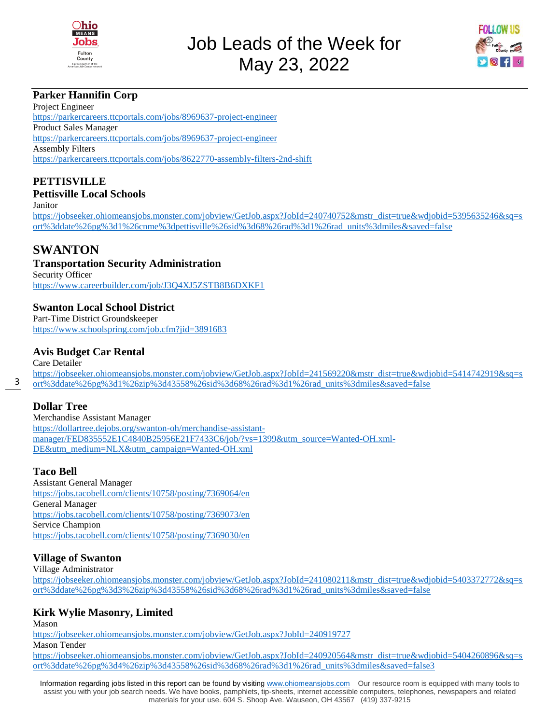



## **Parker Hannifin Corp**

Project Engineer <https://parkercareers.ttcportals.com/jobs/8969637-project-engineer> Product Sales Manager <https://parkercareers.ttcportals.com/jobs/8969637-project-engineer> Assembly Filters <https://parkercareers.ttcportals.com/jobs/8622770-assembly-filters-2nd-shift>

# **PETTISVILLE**

#### **Pettisville Local Schools** Janitor

[https://jobseeker.ohiomeansjobs.monster.com/jobview/GetJob.aspx?JobId=240740752&mstr\\_dist=true&wdjobid=5395635246&sq=s](https://jobseeker.ohiomeansjobs.monster.com/jobview/GetJob.aspx?JobId=240740752&mstr_dist=true&wdjobid=5395635246&sq=sort%3ddate%26pg%3d1%26cnme%3dpettisville%26sid%3d68%26rad%3d1%26rad_units%3dmiles&saved=false) [ort%3ddate%26pg%3d1%26cnme%3dpettisville%26sid%3d68%26rad%3d1%26rad\\_units%3dmiles&saved=false](https://jobseeker.ohiomeansjobs.monster.com/jobview/GetJob.aspx?JobId=240740752&mstr_dist=true&wdjobid=5395635246&sq=sort%3ddate%26pg%3d1%26cnme%3dpettisville%26sid%3d68%26rad%3d1%26rad_units%3dmiles&saved=false)

## **SWANTON**

#### **Transportation Security Administration**

Security Officer <https://www.careerbuilder.com/job/J3Q4XJ5ZSTB8B6DXKF1>

## **Swanton Local School District**

Part-Time District Groundskeeper <https://www.schoolspring.com/job.cfm?jid=3891683>

#### **Avis Budget Car Rental**

Care Detailer [https://jobseeker.ohiomeansjobs.monster.com/jobview/GetJob.aspx?JobId=241569220&mstr\\_dist=true&wdjobid=5414742919&sq=s](https://jobseeker.ohiomeansjobs.monster.com/jobview/GetJob.aspx?JobId=241569220&mstr_dist=true&wdjobid=5414742919&sq=sort%3ddate%26pg%3d1%26zip%3d43558%26sid%3d68%26rad%3d1%26rad_units%3dmiles&saved=false) [ort%3ddate%26pg%3d1%26zip%3d43558%26sid%3d68%26rad%3d1%26rad\\_units%3dmiles&saved=false](https://jobseeker.ohiomeansjobs.monster.com/jobview/GetJob.aspx?JobId=241569220&mstr_dist=true&wdjobid=5414742919&sq=sort%3ddate%26pg%3d1%26zip%3d43558%26sid%3d68%26rad%3d1%26rad_units%3dmiles&saved=false)

#### **Dollar Tree**

3

Merchandise Assistant Manager [https://dollartree.dejobs.org/swanton-oh/merchandise-assistant](https://dollartree.dejobs.org/swanton-oh/merchandise-assistant-manager/FED835552E1C4840B25956E21F7433C6/job/?vs=1399&utm_source=Wanted-OH.xml-DE&utm_medium=NLX&utm_campaign=Wanted-OH.xml)[manager/FED835552E1C4840B25956E21F7433C6/job/?vs=1399&utm\\_source=Wanted-OH.xml-](https://dollartree.dejobs.org/swanton-oh/merchandise-assistant-manager/FED835552E1C4840B25956E21F7433C6/job/?vs=1399&utm_source=Wanted-OH.xml-DE&utm_medium=NLX&utm_campaign=Wanted-OH.xml)[DE&utm\\_medium=NLX&utm\\_campaign=Wanted-OH.xml](https://dollartree.dejobs.org/swanton-oh/merchandise-assistant-manager/FED835552E1C4840B25956E21F7433C6/job/?vs=1399&utm_source=Wanted-OH.xml-DE&utm_medium=NLX&utm_campaign=Wanted-OH.xml)

#### **Taco Bell**

Assistant General Manager <https://jobs.tacobell.com/clients/10758/posting/7369064/en> General Manager <https://jobs.tacobell.com/clients/10758/posting/7369073/en> Service Champion <https://jobs.tacobell.com/clients/10758/posting/7369030/en>

#### **Village of Swanton**

Village Administrator

[https://jobseeker.ohiomeansjobs.monster.com/jobview/GetJob.aspx?JobId=241080211&mstr\\_dist=true&wdjobid=5403372772&sq=s](https://jobseeker.ohiomeansjobs.monster.com/jobview/GetJob.aspx?JobId=241080211&mstr_dist=true&wdjobid=5403372772&sq=sort%3ddate%26pg%3d3%26zip%3d43558%26sid%3d68%26rad%3d1%26rad_units%3dmiles&saved=false) [ort%3ddate%26pg%3d3%26zip%3d43558%26sid%3d68%26rad%3d1%26rad\\_units%3dmiles&saved=false](https://jobseeker.ohiomeansjobs.monster.com/jobview/GetJob.aspx?JobId=241080211&mstr_dist=true&wdjobid=5403372772&sq=sort%3ddate%26pg%3d3%26zip%3d43558%26sid%3d68%26rad%3d1%26rad_units%3dmiles&saved=false)

## **Kirk Wylie Masonry, Limited**

Mason

<https://jobseeker.ohiomeansjobs.monster.com/jobview/GetJob.aspx?JobId=240919727>

Mason Tender

[https://jobseeker.ohiomeansjobs.monster.com/jobview/GetJob.aspx?JobId=240920564&mstr\\_dist=true&wdjobid=5404260896&sq=s](https://jobseeker.ohiomeansjobs.monster.com/jobview/GetJob.aspx?JobId=240920564&mstr_dist=true&wdjobid=5404260896&sq=sort%3ddate%26pg%3d4%26zip%3d43558%26sid%3d68%26rad%3d1%26rad_units%3dmiles&saved=false3) [ort%3ddate%26pg%3d4%26zip%3d43558%26sid%3d68%26rad%3d1%26rad\\_units%3dmiles&saved=false3](https://jobseeker.ohiomeansjobs.monster.com/jobview/GetJob.aspx?JobId=240920564&mstr_dist=true&wdjobid=5404260896&sq=sort%3ddate%26pg%3d4%26zip%3d43558%26sid%3d68%26rad%3d1%26rad_units%3dmiles&saved=false3)

Information regarding jobs listed in this report can be found by visiting [www.ohiomeansjobs.com](http://www.ohiomeansjobs.com/) Our resource room is equipped with many tools to assist you with your job search needs. We have books, pamphlets, tip-sheets, internet accessible computers, telephones, newspapers and related materials for your use. 604 S. Shoop Ave. Wauseon, OH 43567 (419) 337-9215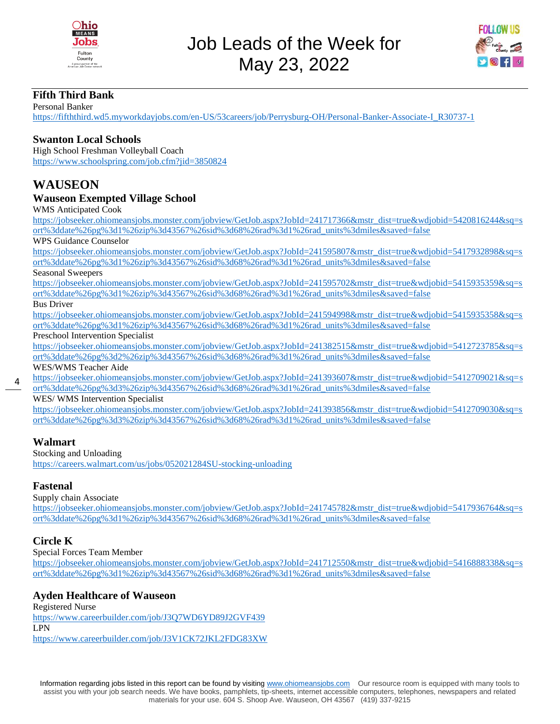



#### **Fifth Third Bank**

Personal Banker [https://fifththird.wd5.myworkdayjobs.com/en-US/53careers/job/Perrysburg-OH/Personal-Banker-Associate-I\\_R30737-1](https://fifththird.wd5.myworkdayjobs.com/en-US/53careers/job/Perrysburg-OH/Personal-Banker-Associate-I_R30737-1)

#### **Swanton Local Schools**

High School Freshman Volleyball Coach <https://www.schoolspring.com/job.cfm?jid=3850824>

## **WAUSEON**

#### **Wauseon Exempted Village School**

WMS Anticipated Cook

[https://jobseeker.ohiomeansjobs.monster.com/jobview/GetJob.aspx?JobId=241717366&mstr\\_dist=true&wdjobid=5420816244&sq=s](https://jobseeker.ohiomeansjobs.monster.com/jobview/GetJob.aspx?JobId=241717366&mstr_dist=true&wdjobid=5420816244&sq=sort%3ddate%26pg%3d1%26zip%3d43567%26sid%3d68%26rad%3d1%26rad_units%3dmiles&saved=false) [ort%3ddate%26pg%3d1%26zip%3d43567%26sid%3d68%26rad%3d1%26rad\\_units%3dmiles&saved=false](https://jobseeker.ohiomeansjobs.monster.com/jobview/GetJob.aspx?JobId=241717366&mstr_dist=true&wdjobid=5420816244&sq=sort%3ddate%26pg%3d1%26zip%3d43567%26sid%3d68%26rad%3d1%26rad_units%3dmiles&saved=false)

#### WPS Guidance Counselor

[https://jobseeker.ohiomeansjobs.monster.com/jobview/GetJob.aspx?JobId=241595807&mstr\\_dist=true&wdjobid=5417932898&sq=s](https://jobseeker.ohiomeansjobs.monster.com/jobview/GetJob.aspx?JobId=241595807&mstr_dist=true&wdjobid=5417932898&sq=sort%3ddate%26pg%3d1%26zip%3d43567%26sid%3d68%26rad%3d1%26rad_units%3dmiles&saved=false) [ort%3ddate%26pg%3d1%26zip%3d43567%26sid%3d68%26rad%3d1%26rad\\_units%3dmiles&saved=false](https://jobseeker.ohiomeansjobs.monster.com/jobview/GetJob.aspx?JobId=241595807&mstr_dist=true&wdjobid=5417932898&sq=sort%3ddate%26pg%3d1%26zip%3d43567%26sid%3d68%26rad%3d1%26rad_units%3dmiles&saved=false)

Seasonal Sweepers

[https://jobseeker.ohiomeansjobs.monster.com/jobview/GetJob.aspx?JobId=241595702&mstr\\_dist=true&wdjobid=5415935359&sq=s](https://jobseeker.ohiomeansjobs.monster.com/jobview/GetJob.aspx?JobId=241595702&mstr_dist=true&wdjobid=5415935359&sq=sort%3ddate%26pg%3d1%26zip%3d43567%26sid%3d68%26rad%3d1%26rad_units%3dmiles&saved=false) [ort%3ddate%26pg%3d1%26zip%3d43567%26sid%3d68%26rad%3d1%26rad\\_units%3dmiles&saved=false](https://jobseeker.ohiomeansjobs.monster.com/jobview/GetJob.aspx?JobId=241595702&mstr_dist=true&wdjobid=5415935359&sq=sort%3ddate%26pg%3d1%26zip%3d43567%26sid%3d68%26rad%3d1%26rad_units%3dmiles&saved=false)

#### Bus Driver

[https://jobseeker.ohiomeansjobs.monster.com/jobview/GetJob.aspx?JobId=241594998&mstr\\_dist=true&wdjobid=5415935358&sq=s](https://jobseeker.ohiomeansjobs.monster.com/jobview/GetJob.aspx?JobId=241594998&mstr_dist=true&wdjobid=5415935358&sq=sort%3ddate%26pg%3d1%26zip%3d43567%26sid%3d68%26rad%3d1%26rad_units%3dmiles&saved=false) [ort%3ddate%26pg%3d1%26zip%3d43567%26sid%3d68%26rad%3d1%26rad\\_units%3dmiles&saved=false](https://jobseeker.ohiomeansjobs.monster.com/jobview/GetJob.aspx?JobId=241594998&mstr_dist=true&wdjobid=5415935358&sq=sort%3ddate%26pg%3d1%26zip%3d43567%26sid%3d68%26rad%3d1%26rad_units%3dmiles&saved=false)

#### Preschool Intervention Specialist

[https://jobseeker.ohiomeansjobs.monster.com/jobview/GetJob.aspx?JobId=241382515&mstr\\_dist=true&wdjobid=5412723785&sq=s](https://jobseeker.ohiomeansjobs.monster.com/jobview/GetJob.aspx?JobId=241382515&mstr_dist=true&wdjobid=5412723785&sq=sort%3ddate%26pg%3d2%26zip%3d43567%26sid%3d68%26rad%3d1%26rad_units%3dmiles&saved=false) [ort%3ddate%26pg%3d2%26zip%3d43567%26sid%3d68%26rad%3d1%26rad\\_units%3dmiles&saved=false](https://jobseeker.ohiomeansjobs.monster.com/jobview/GetJob.aspx?JobId=241382515&mstr_dist=true&wdjobid=5412723785&sq=sort%3ddate%26pg%3d2%26zip%3d43567%26sid%3d68%26rad%3d1%26rad_units%3dmiles&saved=false) WES/WMS Teacher Aide

[https://jobseeker.ohiomeansjobs.monster.com/jobview/GetJob.aspx?JobId=241393607&mstr\\_dist=true&wdjobid=5412709021&sq=s](https://jobseeker.ohiomeansjobs.monster.com/jobview/GetJob.aspx?JobId=241393607&mstr_dist=true&wdjobid=5412709021&sq=sort%3ddate%26pg%3d3%26zip%3d43567%26sid%3d68%26rad%3d1%26rad_units%3dmiles&saved=false) [ort%3ddate%26pg%3d3%26zip%3d43567%26sid%3d68%26rad%3d1%26rad\\_units%3dmiles&saved=false](https://jobseeker.ohiomeansjobs.monster.com/jobview/GetJob.aspx?JobId=241393607&mstr_dist=true&wdjobid=5412709021&sq=sort%3ddate%26pg%3d3%26zip%3d43567%26sid%3d68%26rad%3d1%26rad_units%3dmiles&saved=false)

#### WES/ WMS Intervention Specialist

[https://jobseeker.ohiomeansjobs.monster.com/jobview/GetJob.aspx?JobId=241393856&mstr\\_dist=true&wdjobid=5412709030&sq=s](https://jobseeker.ohiomeansjobs.monster.com/jobview/GetJob.aspx?JobId=241393856&mstr_dist=true&wdjobid=5412709030&sq=sort%3ddate%26pg%3d3%26zip%3d43567%26sid%3d68%26rad%3d1%26rad_units%3dmiles&saved=false) [ort%3ddate%26pg%3d3%26zip%3d43567%26sid%3d68%26rad%3d1%26rad\\_units%3dmiles&saved=false](https://jobseeker.ohiomeansjobs.monster.com/jobview/GetJob.aspx?JobId=241393856&mstr_dist=true&wdjobid=5412709030&sq=sort%3ddate%26pg%3d3%26zip%3d43567%26sid%3d68%26rad%3d1%26rad_units%3dmiles&saved=false)

#### **Walmart**

4

Stocking and Unloading <https://careers.walmart.com/us/jobs/052021284SU-stocking-unloading>

#### **Fastenal**

Supply chain Associate

[https://jobseeker.ohiomeansjobs.monster.com/jobview/GetJob.aspx?JobId=241745782&mstr\\_dist=true&wdjobid=5417936764&sq=s](https://jobseeker.ohiomeansjobs.monster.com/jobview/GetJob.aspx?JobId=241745782&mstr_dist=true&wdjobid=5417936764&sq=sort%3ddate%26pg%3d1%26zip%3d43567%26sid%3d68%26rad%3d1%26rad_units%3dmiles&saved=false) [ort%3ddate%26pg%3d1%26zip%3d43567%26sid%3d68%26rad%3d1%26rad\\_units%3dmiles&saved=false](https://jobseeker.ohiomeansjobs.monster.com/jobview/GetJob.aspx?JobId=241745782&mstr_dist=true&wdjobid=5417936764&sq=sort%3ddate%26pg%3d1%26zip%3d43567%26sid%3d68%26rad%3d1%26rad_units%3dmiles&saved=false)

#### **Circle K**

Special Forces Team Member

[https://jobseeker.ohiomeansjobs.monster.com/jobview/GetJob.aspx?JobId=241712550&mstr\\_dist=true&wdjobid=5416888338&sq=s](https://jobseeker.ohiomeansjobs.monster.com/jobview/GetJob.aspx?JobId=241712550&mstr_dist=true&wdjobid=5416888338&sq=sort%3ddate%26pg%3d1%26zip%3d43567%26sid%3d68%26rad%3d1%26rad_units%3dmiles&saved=false) [ort%3ddate%26pg%3d1%26zip%3d43567%26sid%3d68%26rad%3d1%26rad\\_units%3dmiles&saved=false](https://jobseeker.ohiomeansjobs.monster.com/jobview/GetJob.aspx?JobId=241712550&mstr_dist=true&wdjobid=5416888338&sq=sort%3ddate%26pg%3d1%26zip%3d43567%26sid%3d68%26rad%3d1%26rad_units%3dmiles&saved=false)

#### **Ayden Healthcare of Wauseon**

Registered Nurse <https://www.careerbuilder.com/job/J3Q7WD6YD89J2GVF439> LPN <https://www.careerbuilder.com/job/J3V1CK72JKL2FDG83XW>